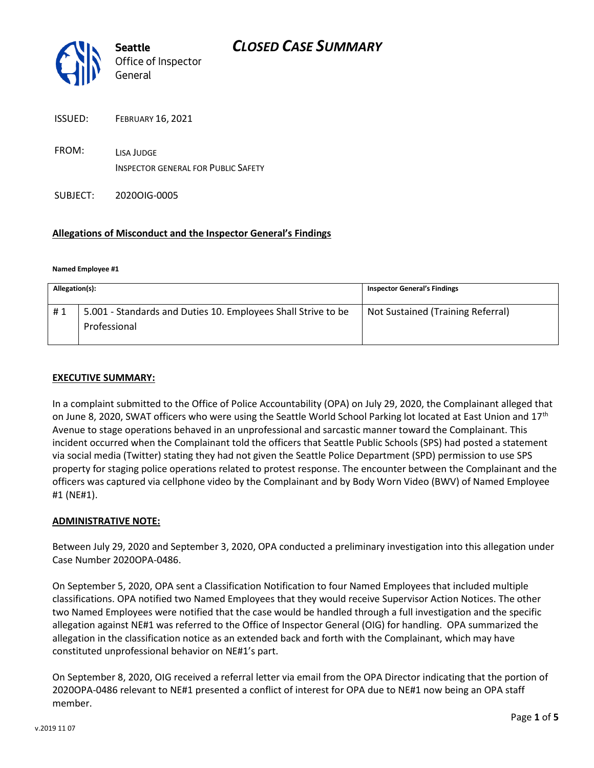

ISSUED: FEBRUARY 16, 2021

FROM: LISA JUDGE INSPECTOR GENERAL FOR PUBLIC SAFETY

SUBJECT: 2020OIG-0005

### **Allegations of Misconduct and the Inspector General's Findings**

#### **Named Employee #1**

| Allegation(s): |                                                                               | <b>Inspector General's Findings</b> |
|----------------|-------------------------------------------------------------------------------|-------------------------------------|
| #1             | 5.001 - Standards and Duties 10. Employees Shall Strive to be<br>Professional | Not Sustained (Training Referral)   |

#### **EXECUTIVE SUMMARY:**

In a complaint submitted to the Office of Police Accountability (OPA) on July 29, 2020, the Complainant alleged that on June 8, 2020, SWAT officers who were using the Seattle World School Parking lot located at East Union and 17<sup>th</sup> Avenue to stage operations behaved in an unprofessional and sarcastic manner toward the Complainant. This incident occurred when the Complainant told the officers that Seattle Public Schools (SPS) had posted a statement via social media (Twitter) stating they had not given the Seattle Police Department (SPD) permission to use SPS property for staging police operations related to protest response. The encounter between the Complainant and the officers was captured via cellphone video by the Complainant and by Body Worn Video (BWV) of Named Employee #1 (NE#1).

#### **ADMINISTRATIVE NOTE:**

Between July 29, 2020 and September 3, 2020, OPA conducted a preliminary investigation into this allegation under Case Number 2020OPA-0486.

On September 5, 2020, OPA sent a Classification Notification to four Named Employees that included multiple classifications. OPA notified two Named Employees that they would receive Supervisor Action Notices. The other two Named Employees were notified that the case would be handled through a full investigation and the specific allegation against NE#1 was referred to the Office of Inspector General (OIG) for handling. OPA summarized the allegation in the classification notice as an extended back and forth with the Complainant, which may have constituted unprofessional behavior on NE#1's part.

On September 8, 2020, OIG received a referral letter via email from the OPA Director indicating that the portion of 2020OPA-0486 relevant to NE#1 presented a conflict of interest for OPA due to NE#1 now being an OPA staff member.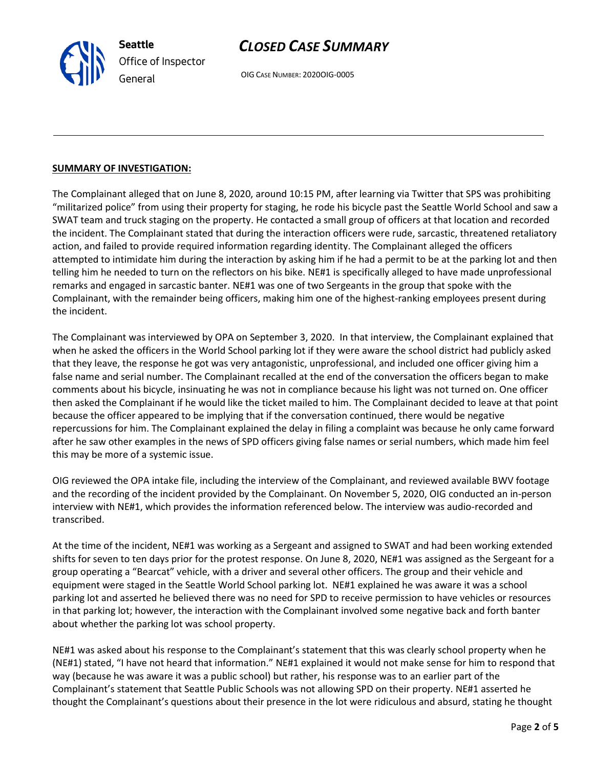

OIG CASE NUMBER: 2020OIG-0005

### **SUMMARY OF INVESTIGATION:**

The Complainant alleged that on June 8, 2020, around 10:15 PM, after learning via Twitter that SPS was prohibiting "militarized police" from using their property for staging, he rode his bicycle past the Seattle World School and saw a SWAT team and truck staging on the property. He contacted a small group of officers at that location and recorded the incident. The Complainant stated that during the interaction officers were rude, sarcastic, threatened retaliatory action, and failed to provide required information regarding identity. The Complainant alleged the officers attempted to intimidate him during the interaction by asking him if he had a permit to be at the parking lot and then telling him he needed to turn on the reflectors on his bike. NE#1 is specifically alleged to have made unprofessional remarks and engaged in sarcastic banter. NE#1 was one of two Sergeants in the group that spoke with the Complainant, with the remainder being officers, making him one of the highest-ranking employees present during the incident.

The Complainant was interviewed by OPA on September 3, 2020. In that interview, the Complainant explained that when he asked the officers in the World School parking lot if they were aware the school district had publicly asked that they leave, the response he got was very antagonistic, unprofessional, and included one officer giving him a false name and serial number. The Complainant recalled at the end of the conversation the officers began to make comments about his bicycle, insinuating he was not in compliance because his light was not turned on. One officer then asked the Complainant if he would like the ticket mailed to him. The Complainant decided to leave at that point because the officer appeared to be implying that if the conversation continued, there would be negative repercussions for him. The Complainant explained the delay in filing a complaint was because he only came forward after he saw other examples in the news of SPD officers giving false names or serial numbers, which made him feel this may be more of a systemic issue.

OIG reviewed the OPA intake file, including the interview of the Complainant, and reviewed available BWV footage and the recording of the incident provided by the Complainant. On November 5, 2020, OIG conducted an in-person interview with NE#1, which provides the information referenced below. The interview was audio-recorded and transcribed.

At the time of the incident, NE#1 was working as a Sergeant and assigned to SWAT and had been working extended shifts for seven to ten days prior for the protest response. On June 8, 2020, NE#1 was assigned as the Sergeant for a group operating a "Bearcat" vehicle, with a driver and several other officers. The group and their vehicle and equipment were staged in the Seattle World School parking lot. NE#1 explained he was aware it was a school parking lot and asserted he believed there was no need for SPD to receive permission to have vehicles or resources in that parking lot; however, the interaction with the Complainant involved some negative back and forth banter about whether the parking lot was school property.

NE#1 was asked about his response to the Complainant's statement that this was clearly school property when he (NE#1) stated, "I have not heard that information." NE#1 explained it would not make sense for him to respond that way (because he was aware it was a public school) but rather, his response was to an earlier part of the Complainant's statement that Seattle Public Schools was not allowing SPD on their property. NE#1 asserted he thought the Complainant's questions about their presence in the lot were ridiculous and absurd, stating he thought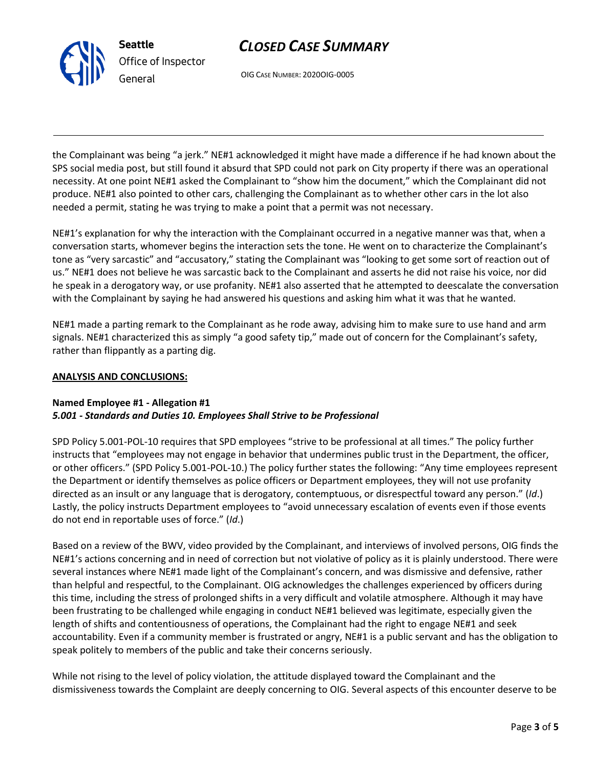

OIG CASE NUMBER: 2020OIG-0005

the Complainant was being "a jerk." NE#1 acknowledged it might have made a difference if he had known about the SPS social media post, but still found it absurd that SPD could not park on City property if there was an operational necessity. At one point NE#1 asked the Complainant to "show him the document," which the Complainant did not produce. NE#1 also pointed to other cars, challenging the Complainant as to whether other cars in the lot also needed a permit, stating he was trying to make a point that a permit was not necessary.

NE#1's explanation for why the interaction with the Complainant occurred in a negative manner was that, when a conversation starts, whomever begins the interaction sets the tone. He went on to characterize the Complainant's tone as "very sarcastic" and "accusatory," stating the Complainant was "looking to get some sort of reaction out of us." NE#1 does not believe he was sarcastic back to the Complainant and asserts he did not raise his voice, nor did he speak in a derogatory way, or use profanity. NE#1 also asserted that he attempted to deescalate the conversation with the Complainant by saying he had answered his questions and asking him what it was that he wanted.

NE#1 made a parting remark to the Complainant as he rode away, advising him to make sure to use hand and arm signals. NE#1 characterized this as simply "a good safety tip," made out of concern for the Complainant's safety, rather than flippantly as a parting dig.

### **ANALYSIS AND CONCLUSIONS:**

#### **Named Employee #1 - Allegation #1** *5.001 - Standards and Duties 10. Employees Shall Strive to be Professional*

SPD Policy 5.001-POL-10 requires that SPD employees "strive to be professional at all times." The policy further instructs that "employees may not engage in behavior that undermines public trust in the Department, the officer, or other officers." (SPD Policy 5.001-POL-10.) The policy further states the following: "Any time employees represent the Department or identify themselves as police officers or Department employees, they will not use profanity directed as an insult or any language that is derogatory, contemptuous, or disrespectful toward any person." (*Id*.) Lastly, the policy instructs Department employees to "avoid unnecessary escalation of events even if those events do not end in reportable uses of force." (*Id*.)

Based on a review of the BWV, video provided by the Complainant, and interviews of involved persons, OIG finds the NE#1's actions concerning and in need of correction but not violative of policy as it is plainly understood. There were several instances where NE#1 made light of the Complainant's concern, and was dismissive and defensive, rather than helpful and respectful, to the Complainant. OIG acknowledges the challenges experienced by officers during this time, including the stress of prolonged shifts in a very difficult and volatile atmosphere. Although it may have been frustrating to be challenged while engaging in conduct NE#1 believed was legitimate, especially given the length of shifts and contentiousness of operations, the Complainant had the right to engage NE#1 and seek accountability. Even if a community member is frustrated or angry, NE#1 is a public servant and has the obligation to speak politely to members of the public and take their concerns seriously.

While not rising to the level of policy violation, the attitude displayed toward the Complainant and the dismissiveness towards the Complaint are deeply concerning to OIG. Several aspects of this encounter deserve to be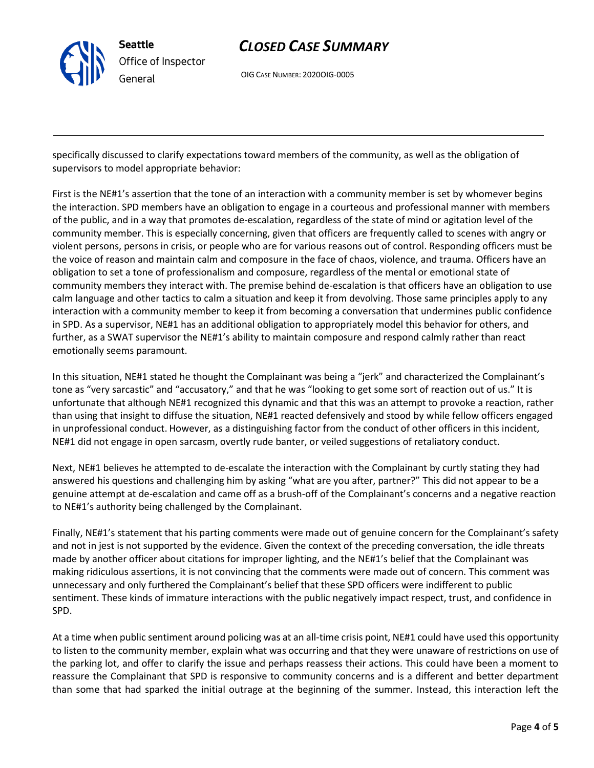

OIG CASE NUMBER: 2020OIG-0005

specifically discussed to clarify expectations toward members of the community, as well as the obligation of supervisors to model appropriate behavior:

First is the NE#1's assertion that the tone of an interaction with a community member is set by whomever begins the interaction. SPD members have an obligation to engage in a courteous and professional manner with members of the public, and in a way that promotes de-escalation, regardless of the state of mind or agitation level of the community member. This is especially concerning, given that officers are frequently called to scenes with angry or violent persons, persons in crisis, or people who are for various reasons out of control. Responding officers must be the voice of reason and maintain calm and composure in the face of chaos, violence, and trauma. Officers have an obligation to set a tone of professionalism and composure, regardless of the mental or emotional state of community members they interact with. The premise behind de-escalation is that officers have an obligation to use calm language and other tactics to calm a situation and keep it from devolving. Those same principles apply to any interaction with a community member to keep it from becoming a conversation that undermines public confidence in SPD. As a supervisor, NE#1 has an additional obligation to appropriately model this behavior for others, and further, as a SWAT supervisor the NE#1's ability to maintain composure and respond calmly rather than react emotionally seems paramount.

In this situation, NE#1 stated he thought the Complainant was being a "jerk" and characterized the Complainant's tone as "very sarcastic" and "accusatory," and that he was "looking to get some sort of reaction out of us." It is unfortunate that although NE#1 recognized this dynamic and that this was an attempt to provoke a reaction, rather than using that insight to diffuse the situation, NE#1 reacted defensively and stood by while fellow officers engaged in unprofessional conduct. However, as a distinguishing factor from the conduct of other officers in this incident, NE#1 did not engage in open sarcasm, overtly rude banter, or veiled suggestions of retaliatory conduct.

Next, NE#1 believes he attempted to de-escalate the interaction with the Complainant by curtly stating they had answered his questions and challenging him by asking "what are you after, partner?" This did not appear to be a genuine attempt at de-escalation and came off as a brush-off of the Complainant's concerns and a negative reaction to NE#1's authority being challenged by the Complainant.

Finally, NE#1's statement that his parting comments were made out of genuine concern for the Complainant's safety and not in jest is not supported by the evidence. Given the context of the preceding conversation, the idle threats made by another officer about citations for improper lighting, and the NE#1's belief that the Complainant was making ridiculous assertions, it is not convincing that the comments were made out of concern. This comment was unnecessary and only furthered the Complainant's belief that these SPD officers were indifferent to public sentiment. These kinds of immature interactions with the public negatively impact respect, trust, and confidence in SPD.

At a time when public sentiment around policing was at an all-time crisis point, NE#1 could have used this opportunity to listen to the community member, explain what was occurring and that they were unaware of restrictions on use of the parking lot, and offer to clarify the issue and perhaps reassess their actions. This could have been a moment to reassure the Complainant that SPD is responsive to community concerns and is a different and better department than some that had sparked the initial outrage at the beginning of the summer. Instead, this interaction left the